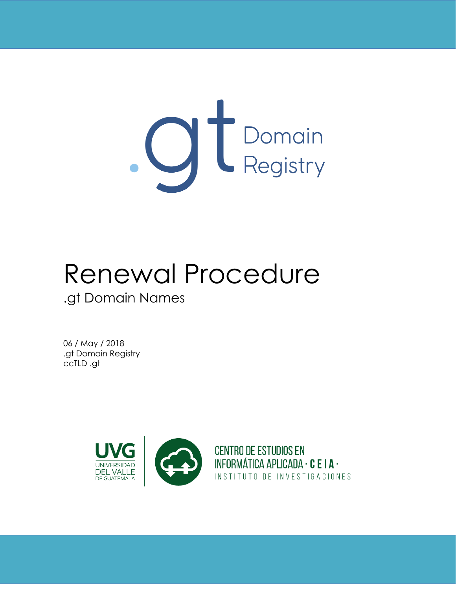

# Renewal Procedure .gt Domain Names

06 / May / 2018 .gt Domain Registry ccTLD .gt

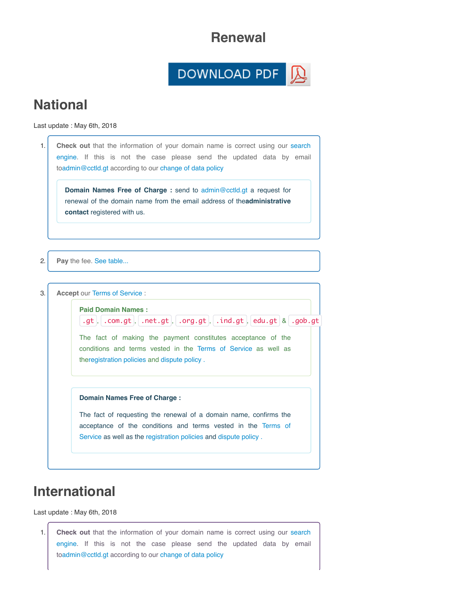### **Renewal**

#### DOWNLOAD PDF 冈

# **National**

Last update : May 6th, 2018

|    | Domain Names Free of Charge : send to admin@cctld.gt a request for<br>renewal of the domain name from the email address of the administrative<br>contact registered with us.   |
|----|--------------------------------------------------------------------------------------------------------------------------------------------------------------------------------|
| 2. | Pay the fee. See table                                                                                                                                                         |
| 3. | <b>Accept our Terms of Service:</b>                                                                                                                                            |
|    | <b>Paid Domain Names:</b>                                                                                                                                                      |
|    | $\mathsf{f}$ .gt, $\mathsf{f}$ .com.gt, $\mathsf{f}$ .net.gt, $\mathsf{f}$ .org.gt, $\mathsf{f}$ .ind.gt, edu.gt $\mathsf{g}$ .gob.gt                                          |
|    | The fact of making the payment constitutes acceptance of the<br>conditions and terms vested in the Terms of Service as well as<br>theregistration policies and dispute policy. |
|    | Domain Names Free of Charge:                                                                                                                                                   |
|    | The fact of requesting the renewal of a domain name, confirms the                                                                                                              |

# **International**

Last update : May 6th, 2018

1. **Check out** that the information of your domain name is correct using our search engine. If this is not the case please send the updated data by email to[admin@cctld.gt](mailto:admin@cctld.gt) according to our [change of data policy](https://dev.registro.gt/sitio/procedures.php?lang=en#cambioDatos)